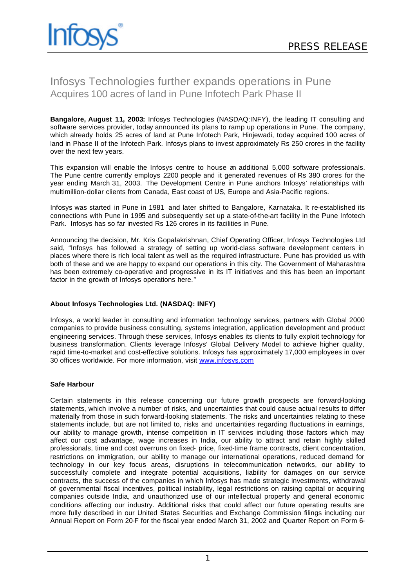## Infosys Technologies further expands operations in Pune Acquires 100 acres of land in Pune Infotech Park Phase II

**Bangalore, August 11, 2003:** Infosys Technologies (NASDAQ:INFY), the leading IT consulting and software services provider, today announced its plans to ramp up operations in Pune. The company, which already holds 25 acres of land at Pune Infotech Park, Hinjewadi, today acquired 100 acres of land in Phase II of the Infotech Park. Infosys plans to invest approximately Rs 250 crores in the facility over the next few years.

This expansion will enable the Infosys centre to house an additional 5,000 software professionals. The Pune centre currently employs 2200 people and it generated revenues of Rs 380 crores for the year ending March 31, 2003. The Development Centre in Pune anchors Infosys' relationships with multimillion-dollar clients from Canada, East coast of US, Europe and Asia-Pacific regions.

Infosys was started in Pune in 1981 and later shifted to Bangalore, Karnataka. It re-established its connections with Pune in 1995 and subsequently set up a state-of-the-art facility in the Pune Infotech Park. Infosys has so far invested Rs 126 crores in its facilities in Pune.

Announcing the decision, Mr. Kris Gopalakrishnan, Chief Operating Officer, Infosys Technologies Ltd said, "Infosys has followed a strategy of setting up world-class software development centers in places where there is rich local talent as well as the required infrastructure. Pune has provided us with both of these and we are happy to expand our operations in this city. The Government of Maharashtra has been extremely co-operative and progressive in its IT initiatives and this has been an important factor in the growth of Infosys operations here."

## **About Infosys Technologies Ltd. (NASDAQ: INFY)**

Infosys, a world leader in consulting and information technology services, partners with Global 2000 companies to provide business consulting, systems integration, application development and product engineering services. Through these services, Infosys enables its clients to fully exploit technology for business transformation. Clients leverage Infosys' Global Delivery Model to achieve higher quality, rapid time-to-market and cost-effective solutions. Infosys has approximately 17,000 employees in over 30 offices worldwide. For more information, visit www.infosys.com

## **Safe Harbour**

Certain statements in this release concerning our future growth prospects are forward-looking statements, which involve a number of risks, and uncertainties that could cause actual results to differ materially from those in such forward-looking statements. The risks and uncertainties relating to these statements include, but are not limited to, risks and uncertainties regarding fluctuations in earnings, our ability to manage growth, intense competition in IT services including those factors which may affect our cost advantage, wage increases in India, our ability to attract and retain highly skilled professionals, time and cost overruns on fixed- price, fixed-time frame contracts, client concentration, restrictions on immigration, our ability to manage our international operations, reduced demand for technology in our key focus areas, disruptions in telecommunication networks, our ability to successfully complete and integrate potential acquisitions, liability for damages on our service contracts, the success of the companies in which Infosys has made strategic investments, withdrawal of governmental fiscal incentives, political instability, legal restrictions on raising capital or acquiring companies outside India, and unauthorized use of our intellectual property and general economic conditions affecting our industry. Additional risks that could affect our future operating results are more fully described in our United States Securities and Exchange Commission filings including our Annual Report on Form 20-F for the fiscal year ended March 31, 2002 and Quarter Report on Form 6-